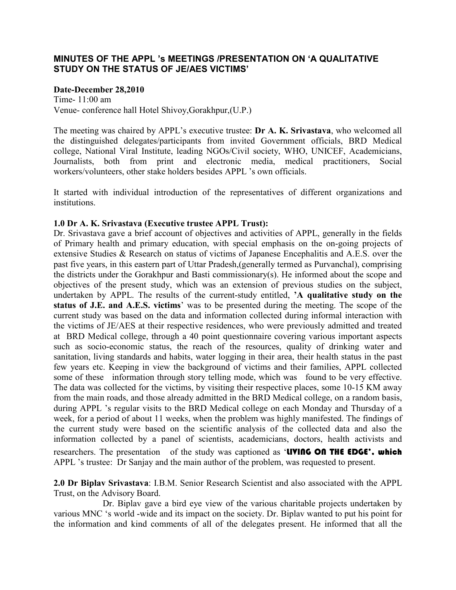## **MINUTES OF THE APPL 's MEETINGS /PRESENTATION ON 'A QUALITATIVE STUDY ON THE STATUS OF JE/AES VICTIMS'**

#### **Date-December 28,2010**

Time- 11:00 am Venue- conference hall Hotel Shivoy,Gorakhpur,(U.P.)

The meeting was chaired by APPL's executive trustee: **Dr A. K. Srivastava**, who welcomed all the distinguished delegates/participants from invited Government officials, BRD Medical college, National Viral Institute, leading NGOs/Civil society, WHO, UNICEF, Academicians, Journalists, both from print and electronic media, medical practitioners, Social workers/volunteers, other stake holders besides APPL 's own officials.

It started with individual introduction of the representatives of different organizations and institutions.

#### **1.0 Dr A. K. Srivastava (Executive trustee APPL Trust):**

Dr. Srivastava gave a brief account of objectives and activities of APPL, generally in the fields of Primary health and primary education, with special emphasis on the on-going projects of extensive Studies & Research on status of victims of Japanese Encephalitis and A.E.S. over the past five years, in this eastern part of Uttar Pradesh,(generally termed as Purvanchal), comprising the districts under the Gorakhpur and Basti commissionary(s). He informed about the scope and objectives of the present study, which was an extension of previous studies on the subject, undertaken by APPL. The results of the current-study entitled, **'A qualitative study on the status of J.E. and A.E.S. victims**' was to be presented during the meeting. The scope of the current study was based on the data and information collected during informal interaction with the victims of JE/AES at their respective residences, who were previously admitted and treated at BRD Medical college, through a 40 point questionnaire covering various important aspects such as socio-economic status, the reach of the resources, quality of drinking water and sanitation, living standards and habits, water logging in their area, their health status in the past few years etc. Keeping in view the background of victims and their families, APPL collected some of these information through story telling mode, which was found to be very effective. The data was collected for the victims, by visiting their respective places, some 10-15 KM away from the main roads, and those already admitted in the BRD Medical college, on a random basis, during APPL 's regular visits to the BRD Medical college on each Monday and Thursday of a week, for a period of about 11 weeks, when the problem was highly manifested. The findings of the current study were based on the scientific analysis of the collected data and also the information collected by a panel of scientists, academicians, doctors, health activists and researchers. The presentation of the study was captioned as 'UVING ON THE EDGE', which APPL 's trustee: Dr Sanjay and the main author of the problem, was requested to present.

**2.0 Dr Biplav Srivastava**: I.B.M. Senior Research Scientist and also associated with the APPL Trust, on the Advisory Board.

 Dr. Biplav gave a bird eye view of the various charitable projects undertaken by various MNC 's world -wide and its impact on the society. Dr. Biplav wanted to put his point for the information and kind comments of all of the delegates present. He informed that all the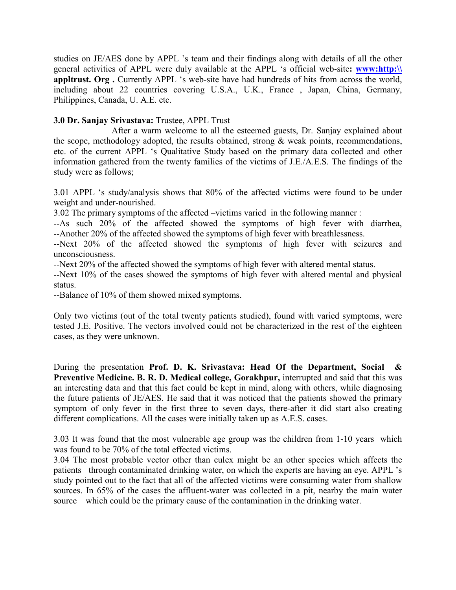studies on JE/AES done by APPL 's team and their findings along with details of all the other general activities of APPL were duly available at the APPL 's official web-site**: www:http:\\ appltrust. Org.** Currently APPL 's web-site have had hundreds of hits from across the world, including about 22 countries covering U.S.A., U.K., France , Japan, China, Germany, Philippines, Canada, U. A.E. etc.

# **3.0 Dr. Sanjay Srivastava:** Trustee, APPL Trust

 After a warm welcome to all the esteemed guests, Dr. Sanjay explained about the scope, methodology adopted, the results obtained, strong & weak points, recommendations, etc. of the current APPL 's Qualitative Study based on the primary data collected and other information gathered from the twenty families of the victims of J.E./A.E.S. The findings of the study were as follows;

3.01 APPL 's study/analysis shows that 80% of the affected victims were found to be under weight and under-nourished.

3.02 The primary symptoms of the affected –victims varied in the following manner :

--As such 20% of the affected showed the symptoms of high fever with diarrhea, --Another 20% of the affected showed the symptoms of high fever with breathlessness.

--Next 20% of the affected showed the symptoms of high fever with seizures and unconsciousness.

--Next 20% of the affected showed the symptoms of high fever with altered mental status.

--Next 10% of the cases showed the symptoms of high fever with altered mental and physical status.

--Balance of 10% of them showed mixed symptoms.

Only two victims (out of the total twenty patients studied), found with varied symptoms, were tested J.E. Positive. The vectors involved could not be characterized in the rest of the eighteen cases, as they were unknown.

During the presentation **Prof. D. K. Srivastava: Head Of the Department, Social & Preventive Medicine. B. R. D. Medical college, Gorakhpur,** interrupted and said that this was an interesting data and that this fact could be kept in mind, along with others, while diagnosing the future patients of JE/AES. He said that it was noticed that the patients showed the primary symptom of only fever in the first three to seven days, there-after it did start also creating different complications. All the cases were initially taken up as A.E.S. cases.

3.03 It was found that the most vulnerable age group was the children from 1-10 years which was found to be 70% of the total effected victims.

3.04 The most probable vector other than culex might be an other species which affects the patients through contaminated drinking water, on which the experts are having an eye. APPL 's study pointed out to the fact that all of the affected victims were consuming water from shallow sources. In 65% of the cases the affluent-water was collected in a pit, nearby the main water source which could be the primary cause of the contamination in the drinking water.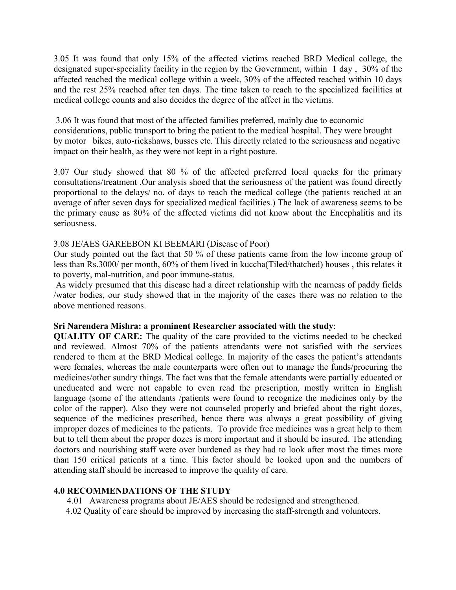3.05 It was found that only 15% of the affected victims reached BRD Medical college, the designated super-speciality facility in the region by the Government, within 1 day , 30% of the affected reached the medical college within a week, 30% of the affected reached within 10 days and the rest 25% reached after ten days. The time taken to reach to the specialized facilities at medical college counts and also decides the degree of the affect in the victims.

 3.06 It was found that most of the affected families preferred, mainly due to economic considerations, public transport to bring the patient to the medical hospital. They were brought by motor bikes, auto-rickshaws, busses etc. This directly related to the seriousness and negative impact on their health, as they were not kept in a right posture.

3.07 Our study showed that 80 % of the affected preferred local quacks for the primary consultations/treatment .Our analysis shoed that the seriousness of the patient was found directly proportional to the delays/ no. of days to reach the medical college (the patients reached at an average of after seven days for specialized medical facilities.) The lack of awareness seems to be the primary cause as 80% of the affected victims did not know about the Encephalitis and its seriousness.

#### 3.08 JE/AES GAREEBON KI BEEMARI (Disease of Poor)

Our study pointed out the fact that 50 % of these patients came from the low income group of less than Rs.3000/ per month, 60% of them lived in kuccha(Tiled/thatched) houses , this relates it to poverty, mal-nutrition, and poor immune-status.

 As widely presumed that this disease had a direct relationship with the nearness of paddy fields /water bodies, our study showed that in the majority of the cases there was no relation to the above mentioned reasons.

#### **Sri Narendera Mishra: a prominent Researcher associated with the study**:

**QUALITY OF CARE:** The quality of the care provided to the victims needed to be checked and reviewed. Almost 70% of the patients attendants were not satisfied with the services rendered to them at the BRD Medical college. In majority of the cases the patient's attendants were females, whereas the male counterparts were often out to manage the funds/procuring the medicines/other sundry things. The fact was that the female attendants were partially educated or uneducated and were not capable to even read the prescription, mostly written in English language (some of the attendants /patients were found to recognize the medicines only by the color of the rapper). Also they were not counseled properly and briefed about the right dozes, sequence of the medicines prescribed, hence there was always a great possibility of giving improper dozes of medicines to the patients. To provide free medicines was a great help to them but to tell them about the proper dozes is more important and it should be insured. The attending doctors and nourishing staff were over burdened as they had to look after most the times more than 150 critical patients at a time. This factor should be looked upon and the numbers of attending staff should be increased to improve the quality of care.

#### **4.0 RECOMMENDATIONS OF THE STUDY**

4.01 Awareness programs about JE/AES should be redesigned and strengthened.

4.02 Quality of care should be improved by increasing the staff-strength and volunteers.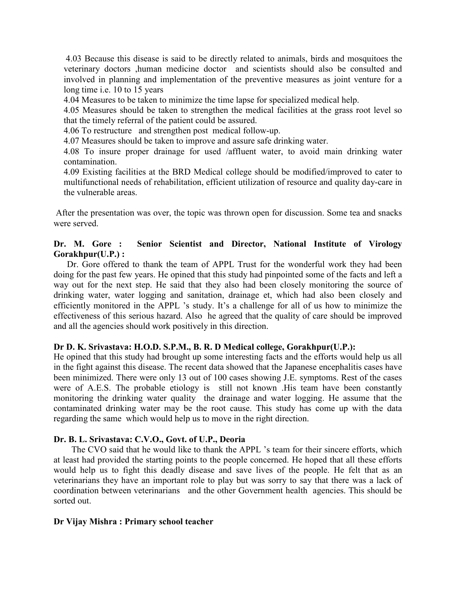4.03 Because this disease is said to be directly related to animals, birds and mosquitoes the veterinary doctors ,human medicine doctor and scientists should also be consulted and involved in planning and implementation of the preventive measures as joint venture for a long time i.e. 10 to 15 years

4.04 Measures to be taken to minimize the time lapse for specialized medical help.

4.05 Measures should be taken to strengthen the medical facilities at the grass root level so that the timely referral of the patient could be assured.

4.06 To restructure and strengthen post medical follow-up.

4.07 Measures should be taken to improve and assure safe drinking water.

4.08 To insure proper drainage for used /affluent water, to avoid main drinking water contamination.

4.09 Existing facilities at the BRD Medical college should be modified/improved to cater to multifunctional needs of rehabilitation, efficient utilization of resource and quality day-care in the vulnerable areas.

 After the presentation was over, the topic was thrown open for discussion. Some tea and snacks were served.

### **Dr. M. Gore : Senior Scientist and Director, National Institute of Virology Gorakhpur(U.P.) :**

Dr. Gore offered to thank the team of APPL Trust for the wonderful work they had been doing for the past few years. He opined that this study had pinpointed some of the facts and left a way out for the next step. He said that they also had been closely monitoring the source of drinking water, water logging and sanitation, drainage et, which had also been closely and efficiently monitored in the APPL 's study. It's a challenge for all of us how to minimize the effectiveness of this serious hazard. Also he agreed that the quality of care should be improved and all the agencies should work positively in this direction.

#### **Dr D. K. Srivastava: H.O.D. S.P.M., B. R. D Medical college, Gorakhpur(U.P.):**

He opined that this study had brought up some interesting facts and the efforts would help us all in the fight against this disease. The recent data showed that the Japanese encephalitis cases have been minimized. There were only 13 out of 100 cases showing J.E. symptoms. Rest of the cases were of A.E.S. The probable etiology is still not known .His team have been constantly monitoring the drinking water quality the drainage and water logging. He assume that the contaminated drinking water may be the root cause. This study has come up with the data regarding the same which would help us to move in the right direction.

#### **Dr. B. L. Srivastava: C.V.O., Govt. of U.P., Deoria**

 The CVO said that he would like to thank the APPL 's team for their sincere efforts, which at least had provided the starting points to the people concerned. He hoped that all these efforts would help us to fight this deadly disease and save lives of the people. He felt that as an veterinarians they have an important role to play but was sorry to say that there was a lack of coordination between veterinarians and the other Government health agencies. This should be sorted out.

#### **Dr Vijay Mishra : Primary school teacher**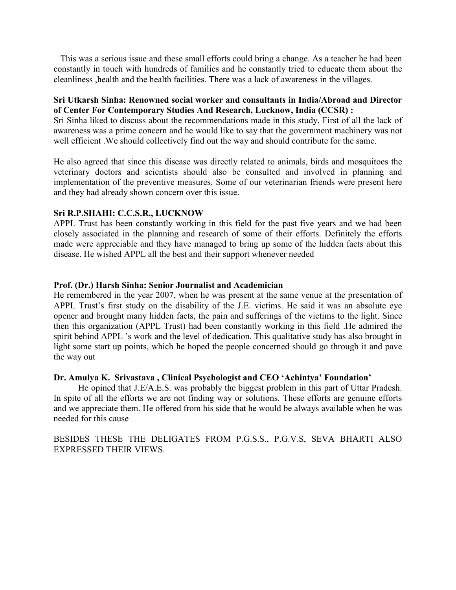This was a serious issue and these small efforts could bring a change. As a teacher he had been constantly in touch with hundreds of families and he constantly tried to educate them about the cleanliness ,health and the health facilities. There was a lack of awareness in the villages.

#### **Sri Utkarsh Sinha: Renowned social worker and consultants in India/Abroad and Director of Center For Contemporary Studies And Research, Lucknow, India (CCSR) :**

Sri Sinha liked to discuss about the recommendations made in this study, First of all the lack of awareness was a prime concern and he would like to say that the government machinery was not well efficient .We should collectively find out the way and should contribute for the same.

He also agreed that since this disease was directly related to animals, birds and mosquitoes the veterinary doctors and scientists should also be consulted and involved in planning and implementation of the preventive measures. Some of our veterinarian friends were present here and they had already shown concern over this issue.

#### **Sri R.P.SHAHI: C.C.S.R., LUCKNOW**

APPL Trust has been constantly working in this field for the past five years and we had been closely associated in the planning and research of some of their efforts. Definitely the efforts made were appreciable and they have managed to bring up some of the hidden facts about this disease. He wished APPL all the best and their support whenever needed

#### **Prof. (Dr.) Harsh Sinha: Senior Journalist and Academician**

He remembered in the year 2007, when he was present at the same venue at the presentation of APPL Trust's first study on the disability of the J.E. victims. He said it was an absolute eye opener and brought many hidden facts, the pain and sufferings of the victims to the light. Since then this organization (APPL Trust) had been constantly working in this field .He admired the spirit behind APPL 's work and the level of dedication. This qualitative study has also brought in light some start up points, which he hoped the people concerned should go through it and pave the way out

#### **Dr. Amulya K. Srivastava , Clinical Psychologist and CEO 'Achintya' Foundation'**

He opined that J.E/A.E.S. was probably the biggest problem in this part of Uttar Pradesh. In spite of all the efforts we are not finding way or solutions. These efforts are genuine efforts and we appreciate them. He offered from his side that he would be always available when he was needed for this cause

BESIDES THESE THE DELIGATES FROM P.G.S.S., P.G.V.S, SEVA BHARTI ALSO EXPRESSED THEIR VIEWS.